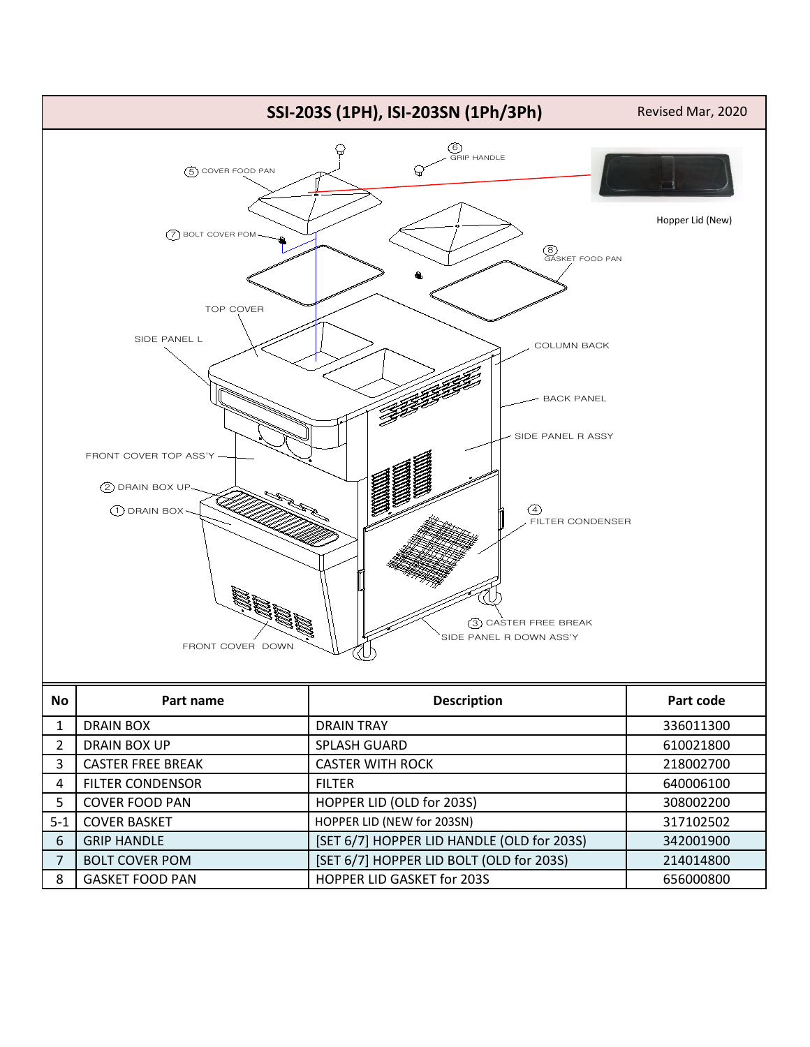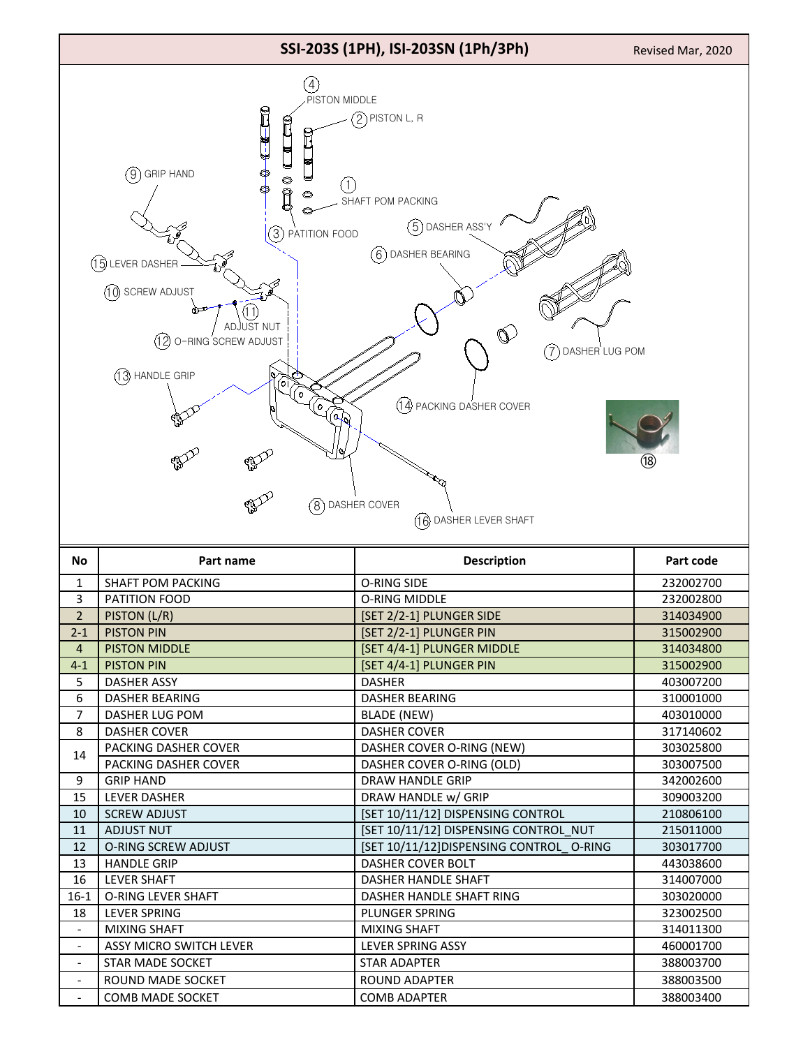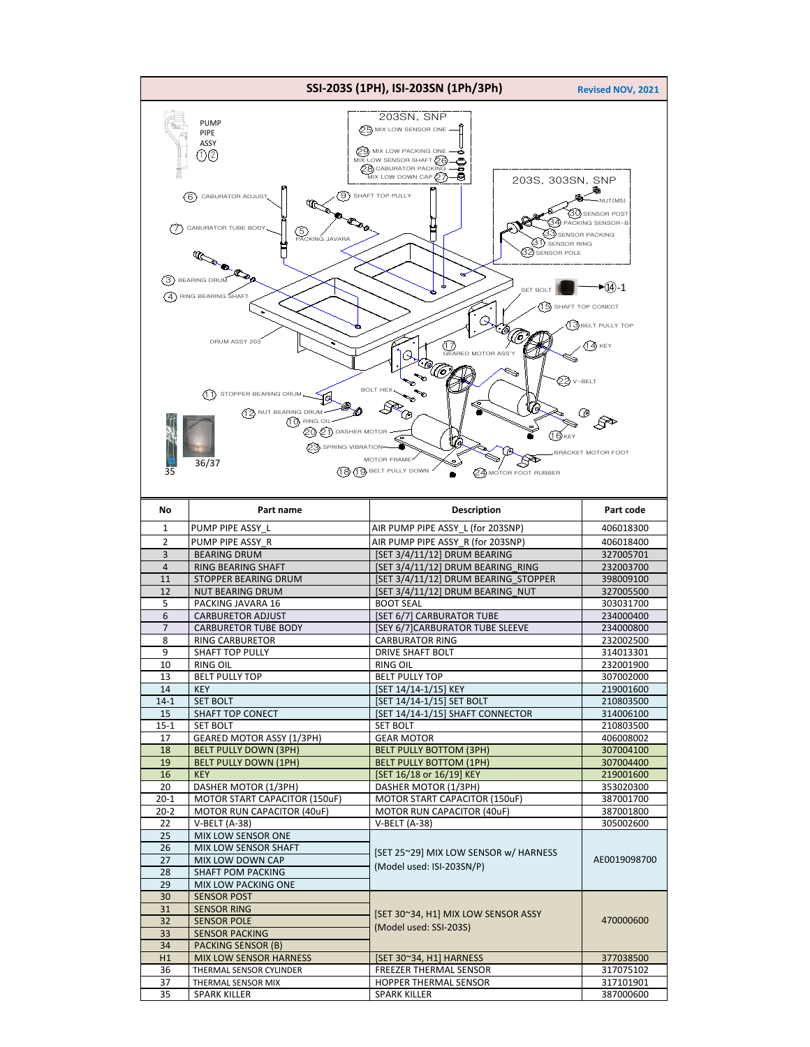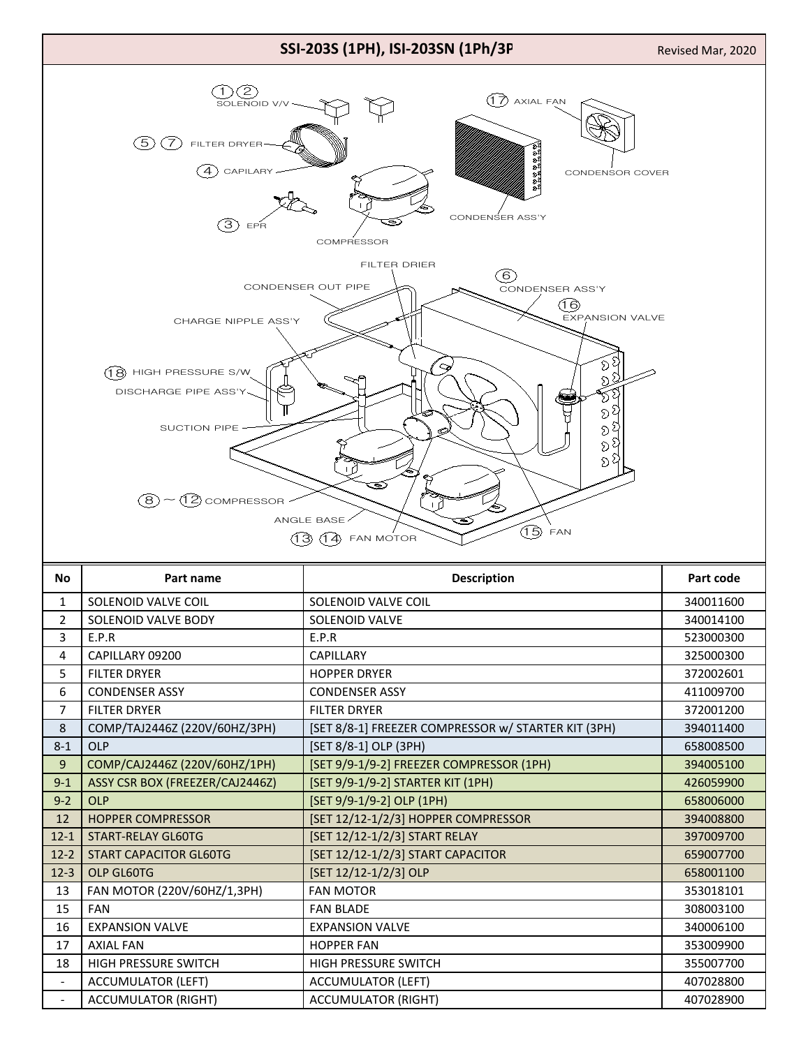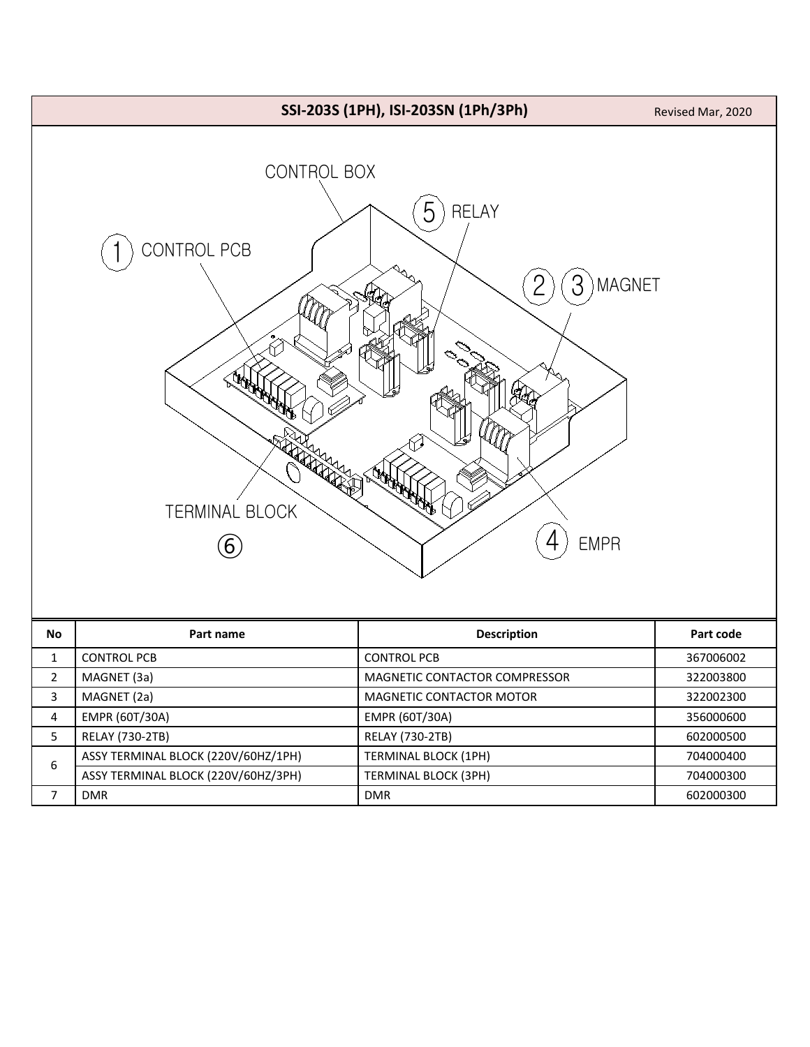